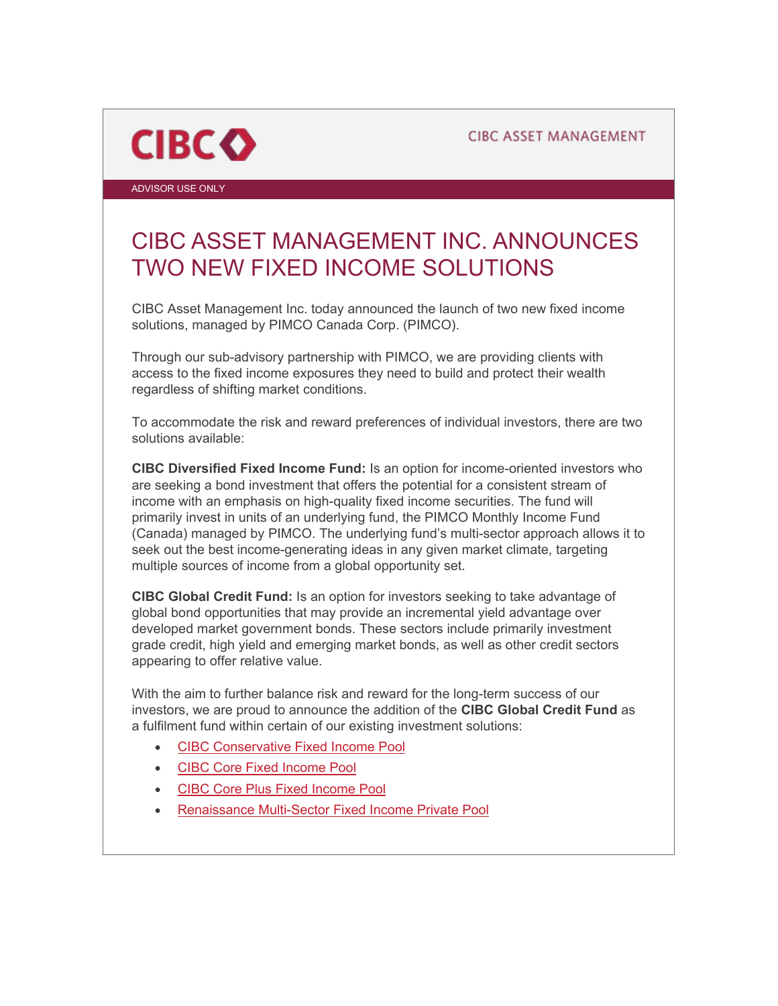**CIBC ASSET MANAGEMENT** 



ADVISOR USE ONLY

## CIBC ASSET MANAGEMENT INC. ANNOUNCES TWO NEW FIXED INCOME SOLUTIONS

CIBC Asset Management Inc. today announced the launch of two new fixed income solutions, managed by PIMCO Canada Corp. (PIMCO).

Through our sub-advisory partnership with PIMCO, we are providing clients with access to the fixed income exposures they need to build and protect their wealth regardless of shifting market conditions.

To accommodate the risk and reward preferences of individual investors, there are two solutions available:

**CIBC Diversified Fixed Income Fund:** Is an option for income-oriented investors who are seeking a bond investment that offers the potential for a consistent stream of income with an emphasis on high-quality fixed income securities. The fund will primarily invest in units of an underlying fund, the PIMCO Monthly Income Fund (Canada) managed by PIMCO. The underlying fund's multi-sector approach allows it to seek out the best income-generating ideas in any given market climate, targeting multiple sources of income from a global opportunity set.

**CIBC Global Credit Fund:** Is an option for investors seeking to take advantage of global bond opportunities that may provide an incremental yield advantage over developed market government bonds. These sectors include primarily investment grade credit, high yield and emerging market bonds, as well as other credit sectors appearing to offer relative value.

With the aim to further balance risk and reward for the long-term success of our investors, we are proud to announce the addition of the **CIBC Global Credit Fund** as a fulfilment fund within certain of our existing investment solutions:

- [CIBC Conservative Fixed Income Pool](https://www.renaissanceinvestments.ca/products/5018)
- [CIBC Core Fixed Income Pool](https://www.renaissanceinvestments.ca/products/5023)
- [CIBC Core Plus Fixed Income Pool](https://www.renaissanceinvestments.ca/products/5026)
- [Renaissance Multi-Sector Fixed Income Private Pool](https://www.renaissanceinvestments.ca/sites/default/files/downloads/statutory/rpip/qpd/qpd_rpp_msfi_e.pdf)